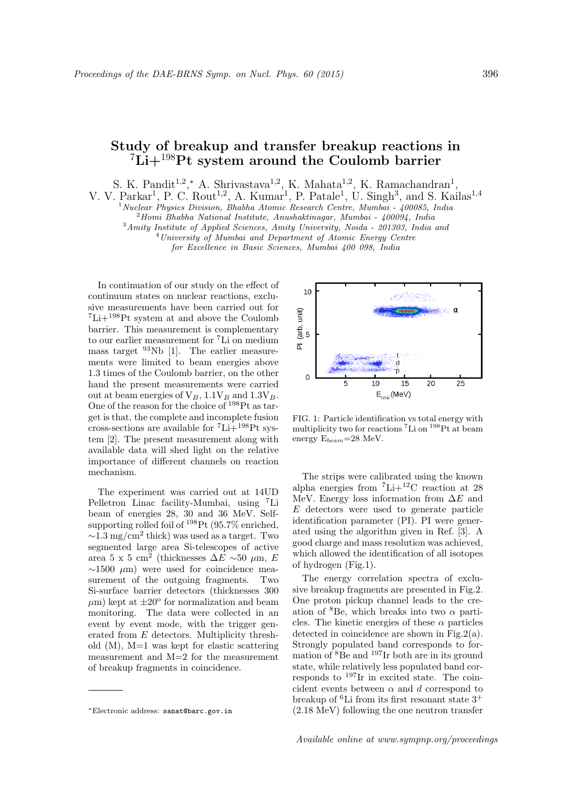## Study of breakup and transfer breakup reactions in  ${}^{7}Li+{}^{198}Pt$  system around the Coulomb barrier

S. K. Pandit<sup>1,2</sup>,\* A. Shrivastava<sup>1,2</sup>, K. Mahata<sup>1,2</sup>, K. Ramachandran<sup>1</sup>,

V. V. Parkar<sup>1</sup>, P. C. Rout<sup>1,2</sup>, A. Kumar<sup>1</sup>, P. Patale<sup>1</sup>, U. Singh<sup>3</sup>, and S. Kailas<sup>1,4</sup>

 $1$ Nuclear Physics Division, Bhabha Atomic Research Centre, Mumbai - 400085, India

 $2$ Homi Bhabha National Institute, Anushaktinagar, Mumbai - 400094, India

<sup>3</sup>Amity Institute of Applied Sciences, Amity University, Noida - 201303, India and <sup>4</sup>University of Mumbai and Department of Atomic Energy Centre

for Excellence in Basic Sciences, Mumbai 400 098, India

In continuation of our study on the effect of continuum states on nuclear reactions, exclusive measurements have been carried out for  ${}^{7}\text{Li}+{}^{198}\text{Pt}$  system at and above the Coulomb barrier. This measurement is complementary to our earlier measurement for <sup>7</sup>Li on medium mass target  $93Nb$  [1]. The earlier measurements were limited to beam energies above 1.3 times of the Coulomb barrier, on the other hand the present measurements were carried out at beam energies of  $V_B$ , 1.1 $V_B$  and 1.3 $V_B$ . One of the reason for the choice of  $198$ Pt as target is that, the complete and incomplete fusion cross-sections are available for  ${}^{7}Li+{}^{198}Pt$  system [2]. The present measurement along with available data will shed light on the relative importance of different channels on reaction mechanism.

The experiment was carried out at 14UD Pelletron Linac facility-Mumbai, using <sup>7</sup>Li beam of energies 28, 30 and 36 MeV. Selfsupporting rolled foil of  $198$ Pt (95.7% enriched,  $\sim$ 1.3 mg/cm<sup>2</sup> thick) was used as a target. Two segmented large area Si-telescopes of active area 5 x 5 cm<sup>2</sup> (thicknesses  $\Delta E \sim 50 \mu$ m, E  $\sim$ 1500  $\mu$ m) were used for coincidence measurement of the outgoing fragments. Two Si-surface barrier detectors (thicknesses 300  $\mu$ m) kept at  $\pm 20^{\circ}$  for normalization and beam monitoring. The data were collected in an event by event mode, with the trigger generated from E detectors. Multiplicity threshold (M), M=1 was kept for elastic scattering measurement and M=2 for the measurement of breakup fragments in coincidence.



FIG. 1: Particle identification vs total energy with multiplicity two for reactions <sup>7</sup>Li on <sup>198</sup>Pt at beam energy  $E_{beam}=28$  MeV.

The strips were calibrated using the known alpha energies from  ${}^{7}\text{Li}+{}^{12}\text{C}$  reaction at 28 MeV. Energy loss information from  $\Delta E$  and E detectors were used to generate particle identification parameter (PI). PI were generated using the algorithm given in Ref. [3]. A good charge and mass resolution was achieved, which allowed the identification of all isotopes of hydrogen (Fig.1).

The energy correlation spectra of exclusive breakup fragments are presented in Fig.2. One proton pickup channel leads to the creation of  ${}^{8}$ Be, which breaks into two  $\alpha$  particles. The kinetic energies of these  $\alpha$  particles detected in coincidence are shown in Fig.2(a). Strongly populated band corresponds to formation of <sup>8</sup>Be and <sup>197</sup>Ir both are in its ground state, while relatively less populated band corresponds to <sup>197</sup>Ir in excited state. The coincident events between  $\alpha$  and d correspond to breakup of <sup>6</sup>Li from its first resonant state  $3^+$ (2.18 MeV) following the one neutron transfer

<sup>∗</sup>Electronic address: sanat@barc.gov.in